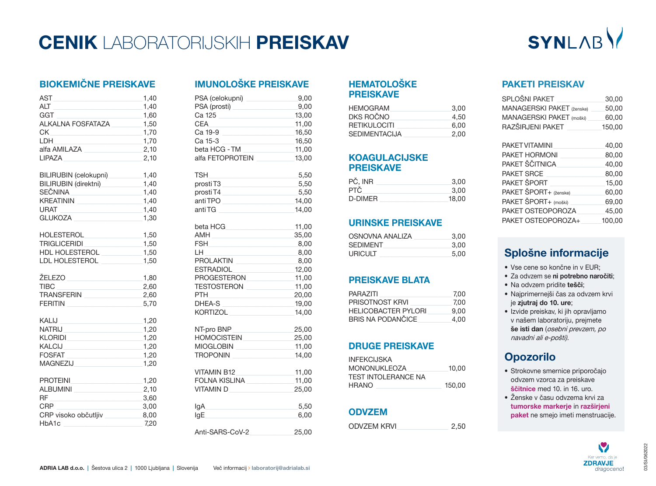## **CENIK** LABORATORIJSKIH **PREISKAV**

# SYNLABV

## **BIOKEMIČNE PREISKAVE**

| AST<br>ALT<br>GGT<br>ALKALNA FOSFATAZA<br>$CK$ and $\overline{C}$ and $\overline{C}$ and $\overline{C}$ and $\overline{C}$ and $\overline{C}$ and $\overline{C}$ and $\overline{C}$ and $\overline{C}$ and $\overline{C}$ and $\overline{C}$ and $\overline{C}$ and $\overline{C}$ and $\overline{C}$ and $\overline{C}$ and $\overline{C}$ and $\overline{C}$ and $\overline{$<br>LDH<br>alfa AMILAZA<br><u> 1980 - Johann Barbara, mart</u><br>LIPAZA | 1,40<br>1,40<br>1,60<br>1,50<br>1,70<br>1,70<br>2,10<br>2,10 |
|---------------------------------------------------------------------------------------------------------------------------------------------------------------------------------------------------------------------------------------------------------------------------------------------------------------------------------------------------------------------------------------------------------------------------------------------------------|--------------------------------------------------------------|
| BILIRUBIN (celokupni)                                                                                                                                                                                                                                                                                                                                                                                                                                   | 1,40                                                         |
| BILIRUBIN (direktni) 1,40                                                                                                                                                                                                                                                                                                                                                                                                                               |                                                              |
| SEČNINA _______________________1,40<br>KREATININ 1,40                                                                                                                                                                                                                                                                                                                                                                                                   |                                                              |
| $\sim$ 1,40<br><b>URAT</b>                                                                                                                                                                                                                                                                                                                                                                                                                              |                                                              |
| <b>GLUKOZA</b>                                                                                                                                                                                                                                                                                                                                                                                                                                          | 1,30                                                         |
| HOLESTEROL                                                                                                                                                                                                                                                                                                                                                                                                                                              | 1,50                                                         |
| TRIGLICERIDI _________________                                                                                                                                                                                                                                                                                                                                                                                                                          | 1,50                                                         |
| HDL HOLESTEROL<br>LDL HOLESTEROL                                                                                                                                                                                                                                                                                                                                                                                                                        | 1,50<br>1,50                                                 |
|                                                                                                                                                                                                                                                                                                                                                                                                                                                         |                                                              |
| ŽELEZO                                                                                                                                                                                                                                                                                                                                                                                                                                                  | 1,80                                                         |
| TIBC<br>TRANSFERIN                                                                                                                                                                                                                                                                                                                                                                                                                                      | 2,60<br>2,60                                                 |
| FFRITIN                                                                                                                                                                                                                                                                                                                                                                                                                                                 | 5,70                                                         |
|                                                                                                                                                                                                                                                                                                                                                                                                                                                         |                                                              |
| KALIJ                                                                                                                                                                                                                                                                                                                                                                                                                                                   | 1,20                                                         |
| NATRIJ <b>Antikeline (1999)</b>                                                                                                                                                                                                                                                                                                                                                                                                                         | 1,20<br>1,20                                                 |
| KLORIDI <b>Alian Anglicia (1999)</b><br>KALCIJ<br><u> 1989 - Johann John Stein, markatar film yn y brening yn y brening y brening yn y brening yn y brening yn y br</u>                                                                                                                                                                                                                                                                                 | 1,20                                                         |
| <b>FOSFAT</b><br>the control of the control of the control of the control of the control of                                                                                                                                                                                                                                                                                                                                                             | 1,20                                                         |
| MAGNEZIJ                                                                                                                                                                                                                                                                                                                                                                                                                                                | 1,20                                                         |
| $\sim$ 1,20<br>PROTEINI                                                                                                                                                                                                                                                                                                                                                                                                                                 |                                                              |
| ALBUMINI 2,10                                                                                                                                                                                                                                                                                                                                                                                                                                           |                                                              |
| <b>RF</b>                                                                                                                                                                                                                                                                                                                                                                                                                                               | 3,60                                                         |
| <b>CRP</b>                                                                                                                                                                                                                                                                                                                                                                                                                                              | 3,00                                                         |
| CRP visoko občutljiv<br>8,00<br>HbA1c                                                                                                                                                                                                                                                                                                                                                                                                                   | 7,20                                                         |
|                                                                                                                                                                                                                                                                                                                                                                                                                                                         |                                                              |

## **IMUNOLOŠKE PREISKAVE**

| PSA (celokupni) _______________<br>PSA (prosti)<br>Ca 125<br><b>CFA</b><br>Ca 19-9<br>Ca 15-3<br>beta HCG - TM<br>alfa FETOPROTEIN | 9,00<br>9,00<br>13,00<br>11,00<br>the control of the control of the control of<br>16,50<br>16,50<br>11,00<br>13,00                                                                                                                                                    |
|------------------------------------------------------------------------------------------------------------------------------------|-----------------------------------------------------------------------------------------------------------------------------------------------------------------------------------------------------------------------------------------------------------------------|
| TSH<br>prosti T4<br>antiTPO<br>anti TG                                                                                             | 5,50<br><u> 1990 - Johann Barbara, martin a</u><br>prosti T3 5,50<br>5,50<br>and a strong control of the strong control of the strong control of the strong control of the strong control of<br>14,00<br>the contract of the contract of the contract of the<br>14,00 |
| beta HCG<br>IH.<br>PROLAKTIN<br>TESTOSTERON<br>DHFA-S<br>KORTIZOL                                                                  | 11,00<br>35,00<br>8,00<br>8,00<br><u> 1989 - Johann Stein, markin sanat masjid a</u><br>8,00<br>ESTRADIOL 12,00<br>PROGESTERON 11,00<br>11,00<br>20,00<br>$\overline{19,00}$<br>14,00                                                                                 |
| NT-pro BNP<br>MIOGLOBIN                                                                                                            | 25,00<br>HOMOCISTEIN 25,00<br>$-11,00$<br>TROPONIN 14,00                                                                                                                                                                                                              |
| VITAMIN B12                                                                                                                        | $-11,00$<br>FOLNA KISLINA 11,00<br>VITAMIN D <sub>25,00</sub>                                                                                                                                                                                                         |
| lgA<br>lgE                                                                                                                         | 5,50<br><u> 1990 - Johann Barbara, martin a</u><br>6,00                                                                                                                                                                                                               |
| Anti-SARS-CoV-2                                                                                                                    | 25,00                                                                                                                                                                                                                                                                 |

### **HEMATOLOŠKE PREISKAVE**

| HEMOGRAM      | 3.00 |
|---------------|------|
| DKS ROČNO     | 4.50 |
| RETIKULOCITI  | 6.00 |
| SEDIMENTACIJA | 2.00 |

### **KOAGULACIJSKE PREISKAVE**

| PČ, INR | 3.00  |
|---------|-------|
| PTČ     | 3.00  |
| D-DIMER | 18.00 |

### **URINSKE PREISKAVE**

| OSNOVNA ANALIZA | 3.00 |
|-----------------|------|
| <b>SEDIMENT</b> | 3.00 |
| <b>URICULT</b>  | 5.00 |

### **PREISKAVE BLATA**

| <b>PARAZITI</b>            | 7.00 |
|----------------------------|------|
| PRISOTNOST KRVI            | 7.00 |
| <b>HELICOBACTER PYLORI</b> | 9.00 |
| <b>BRIS NA PODANČICE</b>   | 4.00 |

### **DRUGE PREISKAVE**

| <b>INFFKCIJSKA</b>   |        |
|----------------------|--------|
| <b>MONONUKLEOZA</b>  | 10.00  |
| TFST INTOI FRANCF NA |        |
| <b>HRANO</b>         | 150.00 |

### **ODVZEM**

ODVZEM KRVI\_\_\_\_\_\_\_\_\_\_\_\_\_\_\_ 2,50

### **PAKETI PREISKAV**

| SPLOŠNI PAKET             | 30,00  |
|---------------------------|--------|
| MANAGERSKI PAKET (ženske) | 50.00  |
| MANAGERSKI PAKET (moški)  | 60.00  |
| RAZŠIRJENI PAKET          | 150.00 |

| PAKET VITAMINI        | 40,00  |
|-----------------------|--------|
| PAKET HORMONI         | 80,00  |
| PAKET ŠČITNICA        | 40,00  |
| PAKET SRCE            | 80,00  |
| PAKET ŠPORT           | 15,00  |
| PAKET ŠPORT+ (ženske) | 60,00  |
| PAKET ŠPORT+ (moški)  | 69,00  |
| PAKET OSTEOPOROZA     | 45,00  |
| PAKET OSTEOPOROZA+    | 100,00 |
|                       |        |

## **Splošne informacije**

- Vse cene so končne in v EUR;
- Za odvzem se **ni potrebno naročiti**;
- Na odvzem pridite **tešči**;
- Najprimernejši čas za odvzem krvi je **zjutraj do 10. ure**;
- Izvide preiskav, ki jih opravljamo v našem laboratoriju, prejmete **še isti dan** (osebni prevzem, po navadni ali e-pošti).

## **Opozorilo**

- Strokovne smernice priporočajo odvzem vzorca za preiskave **ščitnice** med 10. in 16. uro.
- Ženske v času odvzema krvi za **tumorske markerje** in **razširjeni paket** ne smejo imeti menstruacije.